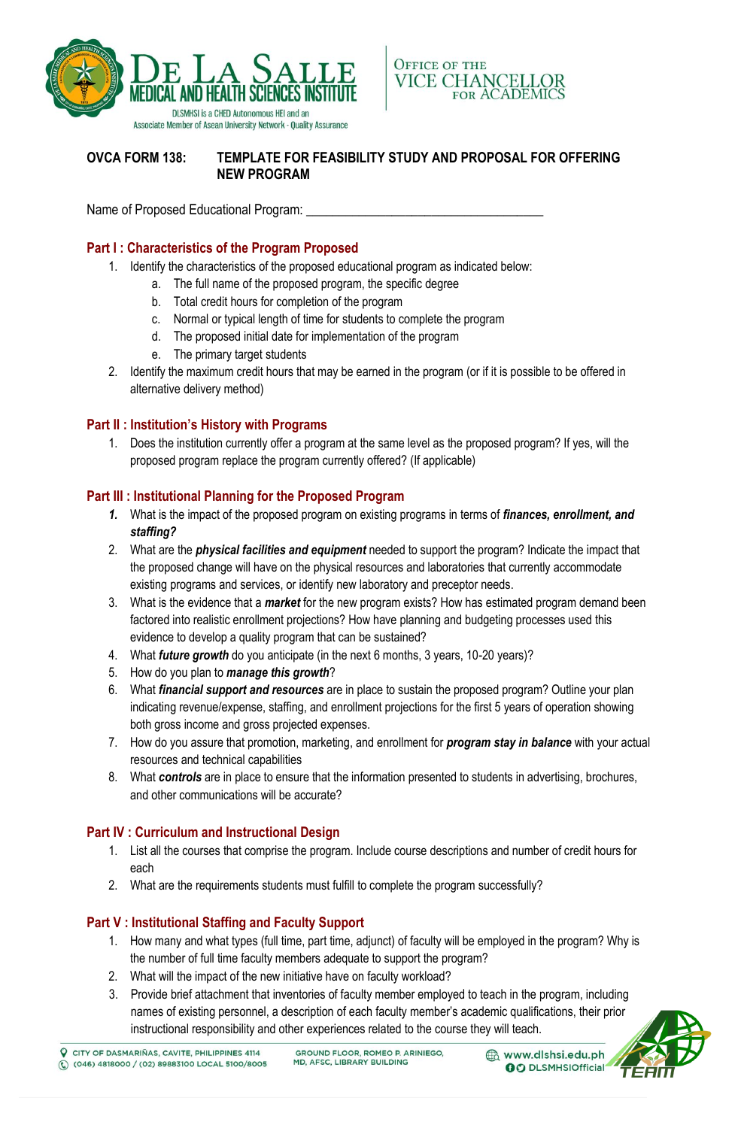



## **OVCA FORM 138: TEMPLATE FOR FEASIBILITY STUDY AND PROPOSAL FOR OFFERING NEW PROGRAM**

Name of Proposed Educational Program:

# **Part I : Characteristics of the Program Proposed**

- 1. Identify the characteristics of the proposed educational program as indicated below:
	- a. The full name of the proposed program, the specific degree
	- b. Total credit hours for completion of the program
	- c. Normal or typical length of time for students to complete the program
	- d. The proposed initial date for implementation of the program
	- e. The primary target students
- 2. Identify the maximum credit hours that may be earned in the program (or if it is possible to be offered in alternative delivery method)

#### **Part II : Institution's History with Programs**

1. Does the institution currently offer a program at the same level as the proposed program? If yes, will the proposed program replace the program currently offered? (If applicable)

## **Part III : Institutional Planning for the Proposed Program**

- *1.* What is the impact of the proposed program on existing programs in terms of *finances, enrollment, and staffing?*
- 2. What are the *physical facilities and equipment* needed to support the program? Indicate the impact that the proposed change will have on the physical resources and laboratories that currently accommodate existing programs and services, or identify new laboratory and preceptor needs.
- 3. What is the evidence that a *market* for the new program exists? How has estimated program demand been factored into realistic enrollment projections? How have planning and budgeting processes used this evidence to develop a quality program that can be sustained?
- 4. What *future growth* do you anticipate (in the next 6 months, 3 years, 10-20 years)?
- 5. How do you plan to *manage this growth*?
- 6. What *financial support and resources* are in place to sustain the proposed program? Outline your plan indicating revenue/expense, staffing, and enrollment projections for the first 5 years of operation showing both gross income and gross projected expenses.
- 7. How do you assure that promotion, marketing, and enrollment for *program stay in balance* with your actual resources and technical capabilities
- 8. What *controls* are in place to ensure that the information presented to students in advertising, brochures, and other communications will be accurate?

## **Part IV : Curriculum and Instructional Design**

- 1. List all the courses that comprise the program. Include course descriptions and number of credit hours for each
- 2. What are the requirements students must fulfill to complete the program successfully?

## **Part V : Institutional Staffing and Faculty Support**

- 1. How many and what types (full time, part time, adjunct) of faculty will be employed in the program? Why is the number of full time faculty members adequate to support the program?
- 2. What will the impact of the new initiative have on faculty workload?
- 3. Provide brief attachment that inventories of faculty member employed to teach in the program, including names of existing personnel, a description of each faculty member's academic qualifications, their prior instructional responsibility and other experiences related to the course they will teach.